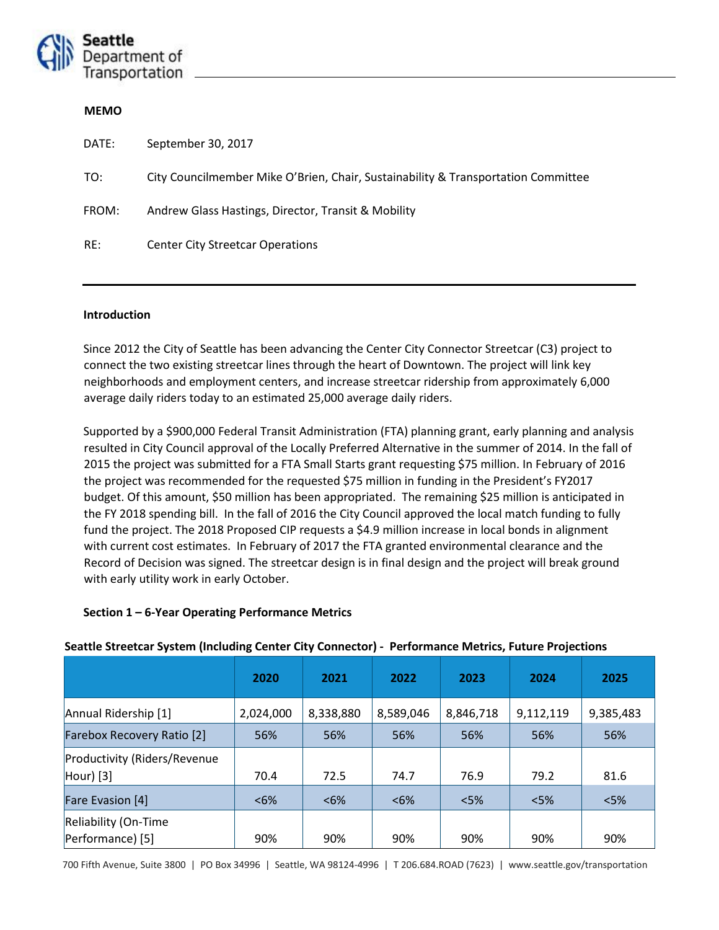

### **MEMO**

| DATE: | September 30, 2017                                                                |
|-------|-----------------------------------------------------------------------------------|
| TO:   | City Councilmember Mike O'Brien, Chair, Sustainability & Transportation Committee |
| FROM: | Andrew Glass Hastings, Director, Transit & Mobility                               |
| RE:   | <b>Center City Streetcar Operations</b>                                           |

### **Introduction**

Since 2012 the City of Seattle has been advancing the Center City Connector Streetcar (C3) project to connect the two existing streetcar lines through the heart of Downtown. The project will link key neighborhoods and employment centers, and increase streetcar ridership from approximately 6,000 average daily riders today to an estimated 25,000 average daily riders.

Supported by a \$900,000 Federal Transit Administration (FTA) planning grant, early planning and analysis resulted in City Council approval of the Locally Preferred Alternative in the summer of 2014. In the fall of 2015 the project was submitted for a FTA Small Starts grant requesting \$75 million. In February of 2016 the project was recommended for the requested \$75 million in funding in the President's FY2017 budget. Of this amount, \$50 million has been appropriated. The remaining \$25 million is anticipated in the FY 2018 spending bill. In the fall of 2016 the City Council approved the local match funding to fully fund the project. The 2018 Proposed CIP requests a \$4.9 million increase in local bonds in alignment with current cost estimates. In February of 2017 the FTA granted environmental clearance and the Record of Decision was signed. The streetcar design is in final design and the project will break ground with early utility work in early October.

### **Section 1 – 6-Year Operating Performance Metrics**

| $\frac{1}{2}$ . The second system (including center city connector) – i criomiance method, i atare i rojections |           |           |              |           |           |           |  |
|-----------------------------------------------------------------------------------------------------------------|-----------|-----------|--------------|-----------|-----------|-----------|--|
|                                                                                                                 | 2020      | 2021      | 2022<br>2023 |           | 2024      | 2025      |  |
| Annual Ridership [1]                                                                                            | 2,024,000 | 8,338,880 | 8,589,046    | 8,846,718 | 9,112,119 | 9,385,483 |  |
| <b>Farebox Recovery Ratio [2]</b>                                                                               | 56%       | 56%       | 56%          | 56%       | 56%       | 56%       |  |
| Productivity (Riders/Revenue<br>$ $ Hour $ $ [3]                                                                | 70.4      | 72.5      | 74.7         | 76.9      | 79.2      | 81.6      |  |
| Fare Evasion [4]                                                                                                | &5%       | &5%       | $< 6\%$      | < 5%      | < 5%      | $<$ 5%    |  |
| Reliability (On-Time<br>Performance) [5]                                                                        | 90%       | 90%       | 90%          | 90%       | 90%       | 90%       |  |

### **Seattle Streetcar System (Including Center City Connector) - Performance Metrics, Future Projections**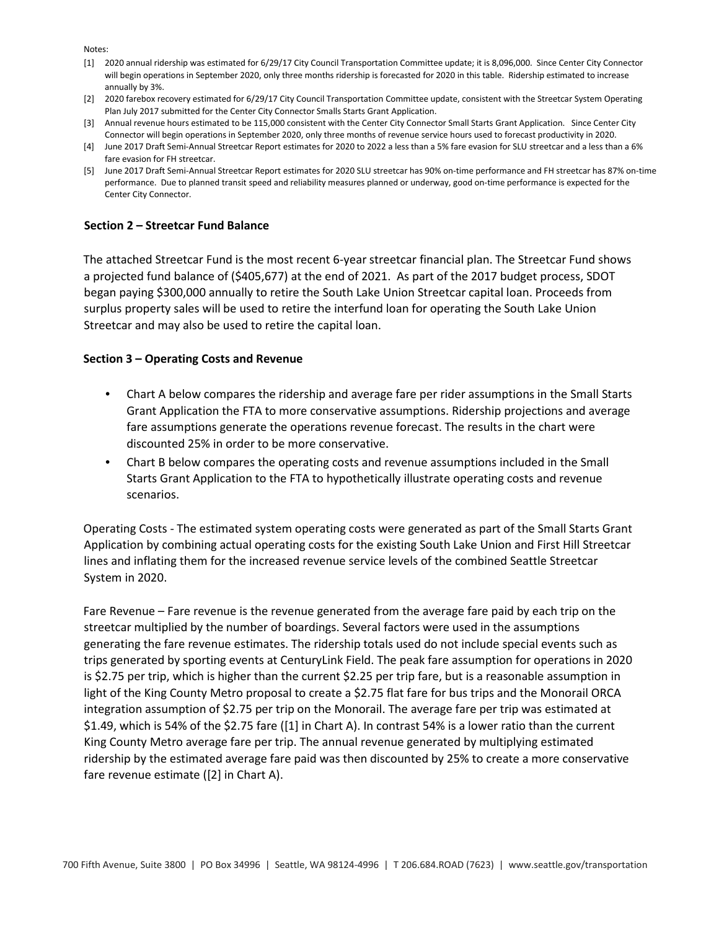Notes:

- [1] 2020 annual ridership was estimated for 6/29/17 City Council Transportation Committee update; it is 8,096,000. Since Center City Connector will begin operations in September 2020, only three months ridership is forecasted for 2020 in this table. Ridership estimated to increase annually by 3%.
- [2] 2020 farebox recovery estimated for 6/29/17 City Council Transportation Committee update, consistent with the Streetcar System Operating Plan July 2017 submitted for the Center City Connector Smalls Starts Grant Application.
- [3] Annual revenue hours estimated to be 115,000 consistent with the Center City Connector Small Starts Grant Application. Since Center City Connector will begin operations in September 2020, only three months of revenue service hours used to forecast productivity in 2020.
- [4] June 2017 Draft Semi-Annual Streetcar Report estimates for 2020 to 2022 a less than a 5% fare evasion for SLU streetcar and a less than a 6% fare evasion for FH streetcar.
- [5] June 2017 Draft Semi-Annual Streetcar Report estimates for 2020 SLU streetcar has 90% on-time performance and FH streetcar has 87% on-time performance. Due to planned transit speed and reliability measures planned or underway, good on-time performance is expected for the Center City Connector.

## **Section 2 – Streetcar Fund Balance**

The attached Streetcar Fund is the most recent 6-year streetcar financial plan. The Streetcar Fund shows a projected fund balance of (\$405,677) at the end of 2021. As part of the 2017 budget process, SDOT began paying \$300,000 annually to retire the South Lake Union Streetcar capital loan. Proceeds from surplus property sales will be used to retire the interfund loan for operating the South Lake Union Streetcar and may also be used to retire the capital loan.

## **Section 3 – Operating Costs and Revenue**

- Chart A below compares the ridership and average fare per rider assumptions in the Small Starts Grant Application the FTA to more conservative assumptions. Ridership projections and average fare assumptions generate the operations revenue forecast. The results in the chart were discounted 25% in order to be more conservative.
- Chart B below compares the operating costs and revenue assumptions included in the Small Starts Grant Application to the FTA to hypothetically illustrate operating costs and revenue scenarios.

Operating Costs - The estimated system operating costs were generated as part of the Small Starts Grant Application by combining actual operating costs for the existing South Lake Union and First Hill Streetcar lines and inflating them for the increased revenue service levels of the combined Seattle Streetcar System in 2020.

Fare Revenue – Fare revenue is the revenue generated from the average fare paid by each trip on the streetcar multiplied by the number of boardings. Several factors were used in the assumptions generating the fare revenue estimates. The ridership totals used do not include special events such as trips generated by sporting events at CenturyLink Field. The peak fare assumption for operations in 2020 is \$2.75 per trip, which is higher than the current \$2.25 per trip fare, but is a reasonable assumption in light of the King County Metro proposal to create a \$2.75 flat fare for bus trips and the Monorail ORCA integration assumption of \$2.75 per trip on the Monorail. The average fare per trip was estimated at \$1.49, which is 54% of the \$2.75 fare ([1] in Chart A). In contrast 54% is a lower ratio than the current King County Metro average fare per trip. The annual revenue generated by multiplying estimated ridership by the estimated average fare paid was then discounted by 25% to create a more conservative fare revenue estimate ([2] in Chart A).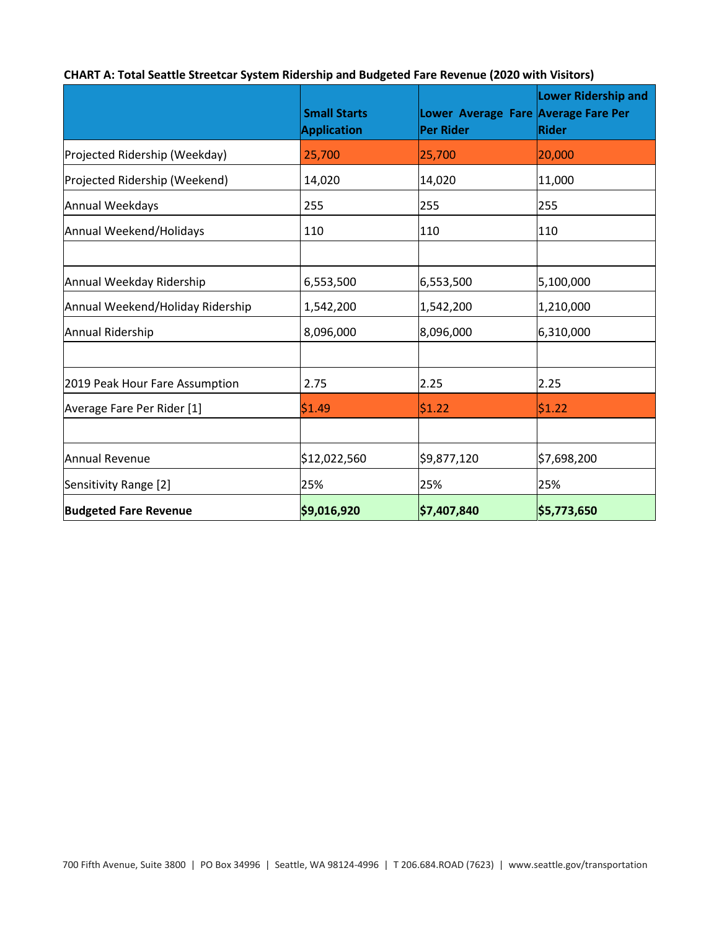|                                  | <b>Small Starts</b><br><b>Application</b> | <b>Per Rider</b> | <b>Lower Ridership and</b><br>Lower Average Fare Average Fare Per<br><b>Rider</b> |
|----------------------------------|-------------------------------------------|------------------|-----------------------------------------------------------------------------------|
| Projected Ridership (Weekday)    | 25,700                                    | 25,700           | 20,000                                                                            |
| Projected Ridership (Weekend)    | 14,020                                    | 14,020           | 11,000                                                                            |
| Annual Weekdays                  | 255                                       | 255              | 255                                                                               |
| Annual Weekend/Holidays          | 110                                       | 110              | 110                                                                               |
|                                  |                                           |                  |                                                                                   |
| Annual Weekday Ridership         | 6,553,500                                 | 6,553,500        | 5,100,000                                                                         |
| Annual Weekend/Holiday Ridership | 1,542,200                                 | 1,542,200        | 1,210,000                                                                         |
| Annual Ridership                 | 8,096,000                                 | 8,096,000        | 6,310,000                                                                         |
|                                  |                                           |                  |                                                                                   |
| 2019 Peak Hour Fare Assumption   | 2.75                                      | 2.25             | 2.25                                                                              |
| Average Fare Per Rider [1]       | \$1.49                                    | \$1.22           | 51.22                                                                             |
|                                  |                                           |                  |                                                                                   |
| Annual Revenue                   | \$12,022,560                              | \$9,877,120      | \$7,698,200                                                                       |
| Sensitivity Range [2]            | 25%                                       | 25%              | 25%                                                                               |
| <b>Budgeted Fare Revenue</b>     | \$9,016,920                               | \$7,407,840      | \$5,773,650                                                                       |

# **CHART A: Total Seattle Streetcar System Ridership and Budgeted Fare Revenue (2020 with Visitors)**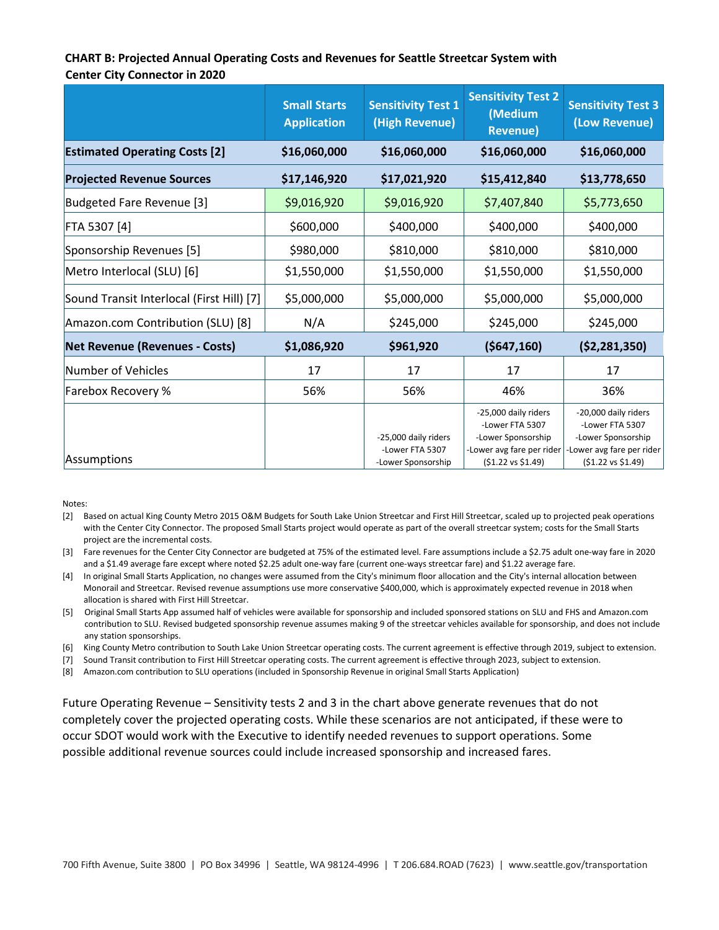## **CHART B: Projected Annual Operating Costs and Revenues for Seattle Streetcar System with Center City Connector in 2020**

|                                           | <b>Small Starts</b><br><b>Application</b> | <b>Sensitivity Test 1</b><br>(High Revenue) | <b>Sensitivity Test 2</b><br>(Medium<br><b>Revenue)</b>                                    | <b>Sensitivity Test 3</b><br>(Low Revenue)                                                 |
|-------------------------------------------|-------------------------------------------|---------------------------------------------|--------------------------------------------------------------------------------------------|--------------------------------------------------------------------------------------------|
| <b>Estimated Operating Costs [2]</b>      | \$16,060,000                              | \$16,060,000                                | \$16,060,000                                                                               | \$16,060,000                                                                               |
| <b>Projected Revenue Sources</b>          | \$17,146,920                              | \$17,021,920                                | \$15,412,840                                                                               | \$13,778,650                                                                               |
| Budgeted Fare Revenue [3]                 | \$9,016,920                               | \$9,016,920                                 | \$7,407,840                                                                                | \$5,773,650                                                                                |
| FTA 5307 [4]                              | \$600,000                                 | \$400,000                                   | \$400,000                                                                                  | \$400,000                                                                                  |
| Sponsorship Revenues [5]                  | \$980,000                                 | \$810,000                                   | \$810,000                                                                                  | \$810,000                                                                                  |
| Metro Interlocal (SLU) [6]                | \$1,550,000                               | \$1,550,000                                 | \$1,550,000                                                                                | \$1,550,000                                                                                |
| Sound Transit Interlocal (First Hill) [7] | \$5,000,000                               | \$5,000,000                                 | \$5,000,000                                                                                | \$5,000,000                                                                                |
| Amazon.com Contribution (SLU) [8]         | N/A                                       | \$245,000                                   | \$245,000                                                                                  | \$245,000                                                                                  |
| <b>Net Revenue (Revenues - Costs)</b>     | \$1,086,920                               | \$961,920                                   | (5647, 160)                                                                                | ( \$2, 281, 350)                                                                           |
| Number of Vehicles                        | 17                                        | 17                                          | 17                                                                                         | 17                                                                                         |
| Farebox Recovery %                        | 56%                                       | 56%                                         | 46%                                                                                        | 36%                                                                                        |
|                                           |                                           | -25,000 daily riders<br>-Lower FTA 5307     | -25,000 daily riders<br>-Lower FTA 5307<br>-Lower Sponsorship<br>-Lower avg fare per rider | -20,000 daily riders<br>-Lower FTA 5307<br>-Lower Sponsorship<br>-Lower avg fare per rider |
| Assumptions                               |                                           | -Lower Sponsorship                          | (\$1.22 vs \$1.49)                                                                         | (\$1.22 vs \$1.49)                                                                         |

Notes:

- [2] Based on actual King County Metro 2015 O&M Budgets for South Lake Union Streetcar and First Hill Streetcar, scaled up to projected peak operations with the Center City Connector. The proposed Small Starts project would operate as part of the overall streetcar system; costs for the Small Starts project are the incremental costs.
- [3] Fare revenues for the Center City Connector are budgeted at 75% of the estimated level. Fare assumptions include a \$2.75 adult one-way fare in 2020 and a \$1.49 average fare except where noted \$2.25 adult one-way fare (current one-ways streetcar fare) and \$1.22 average fare.
- [4] In original Small Starts Application, no changes were assumed from the City's minimum floor allocation and the City's internal allocation between Monorail and Streetcar. Revised revenue assumptions use more conservative \$400,000, which is approximately expected revenue in 2018 when allocation is shared with First Hill Streetcar.
- [5] Original Small Starts App assumed half of vehicles were available for sponsorship and included sponsored stations on SLU and FHS and Amazon.com contribution to SLU. Revised budgeted sponsorship revenue assumes making 9 of the streetcar vehicles available for sponsorship, and does not include any station sponsorships.
- [6] King County Metro contribution to South Lake Union Streetcar operating costs. The current agreement is effective through 2019, subject to extension.
- [7] Sound Transit contribution to First Hill Streetcar operating costs. The current agreement is effective through 2023, subject to extension.
- [8] Amazon.com contribution to SLU operations (included in Sponsorship Revenue in original Small Starts Application)

Future Operating Revenue – Sensitivity tests 2 and 3 in the chart above generate revenues that do not completely cover the projected operating costs. While these scenarios are not anticipated, if these were to occur SDOT would work with the Executive to identify needed revenues to support operations. Some possible additional revenue sources could include increased sponsorship and increased fares.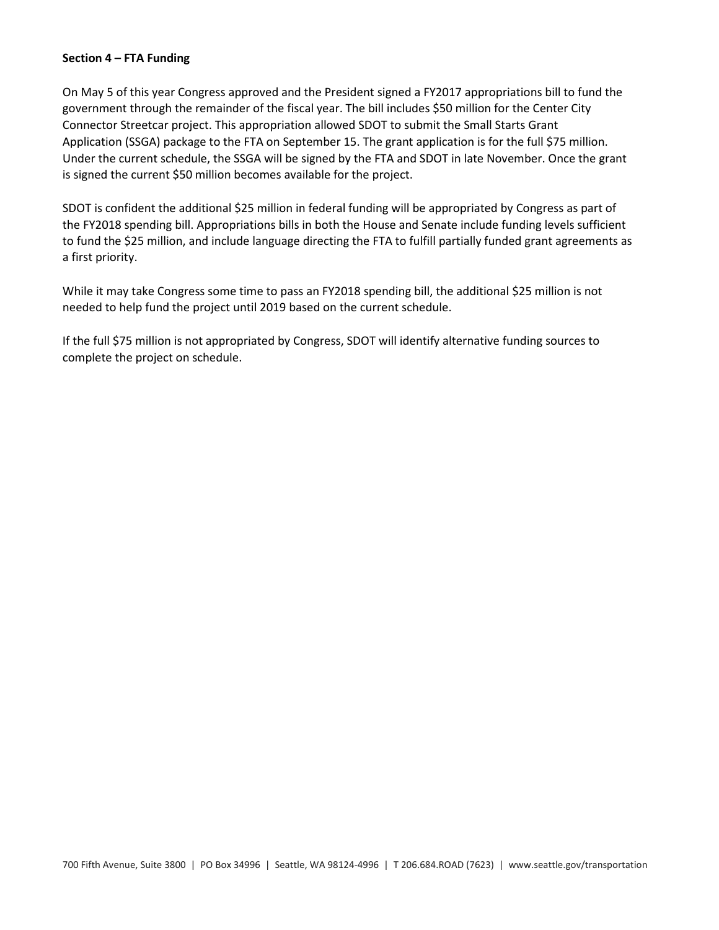### **Section 4 – FTA Funding**

On May 5 of this year Congress approved and the President signed a FY2017 appropriations bill to fund the government through the remainder of the fiscal year. The bill includes \$50 million for the Center City Connector Streetcar project. This appropriation allowed SDOT to submit the Small Starts Grant Application (SSGA) package to the FTA on September 15. The grant application is for the full \$75 million. Under the current schedule, the SSGA will be signed by the FTA and SDOT in late November. Once the grant is signed the current \$50 million becomes available for the project.

SDOT is confident the additional \$25 million in federal funding will be appropriated by Congress as part of the FY2018 spending bill. Appropriations bills in both the House and Senate include funding levels sufficient to fund the \$25 million, and include language directing the FTA to fulfill partially funded grant agreements as a first priority.

While it may take Congress some time to pass an FY2018 spending bill, the additional \$25 million is not needed to help fund the project until 2019 based on the current schedule.

If the full \$75 million is not appropriated by Congress, SDOT will identify alternative funding sources to complete the project on schedule.